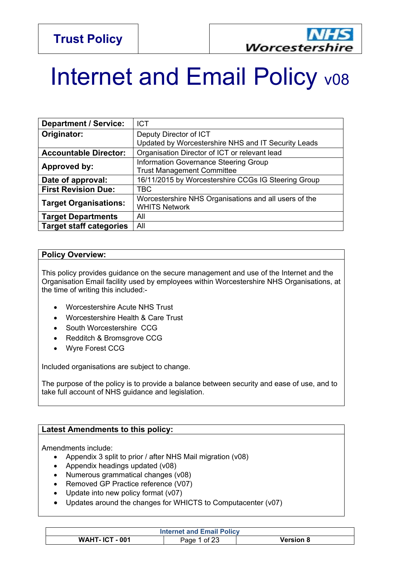

# Internet and Email Policy v08

| <b>Department / Service:</b>   | <b>ICT</b>                                                                    |
|--------------------------------|-------------------------------------------------------------------------------|
| Originator:                    | Deputy Director of ICT<br>Updated by Worcestershire NHS and IT Security Leads |
| <b>Accountable Director:</b>   | Organisation Director of ICT or relevant lead                                 |
| Approved by:                   | Information Governance Steering Group<br><b>Trust Management Committee</b>    |
| Date of approval:              | 16/11/2015 by Worcestershire CCGs IG Steering Group                           |
| <b>First Revision Due:</b>     | <b>TBC</b>                                                                    |
| <b>Target Organisations:</b>   | Worcestershire NHS Organisations and all users of the<br><b>WHITS Network</b> |
| <b>Target Departments</b>      | All                                                                           |
| <b>Target staff categories</b> | All                                                                           |

#### **Policy Overview:**

This policy provides guidance on the secure management and use of the Internet and the Organisation Email facility used by employees within Worcestershire NHS Organisations, at the time of writing this included:-

- Worcestershire Acute NHS Trust
- Worcestershire Health & Care Trust
- South Worcestershire CCG
- Redditch & Bromsgrove CCG
- Wyre Forest CCG

Included organisations are subject to change.

The purpose of the policy is to provide a balance between security and ease of use, and to take full account of NHS guidance and legislation.

#### **Latest Amendments to this policy:**

Amendments include:

- Appendix 3 split to prior / after NHS Mail migration (v08)
- Appendix headings updated (v08)
- Numerous grammatical changes (v08)
- Removed GP Practice reference (V07)
- Update into new policy format (v07)
- Updates around the changes for WHICTS to Computacenter (v07)

| <b>Internet and Email Policy</b> |            |           |
|----------------------------------|------------|-----------|
| <b>WAHT-ICT-001</b>              | Page<br>∩t | Version 8 |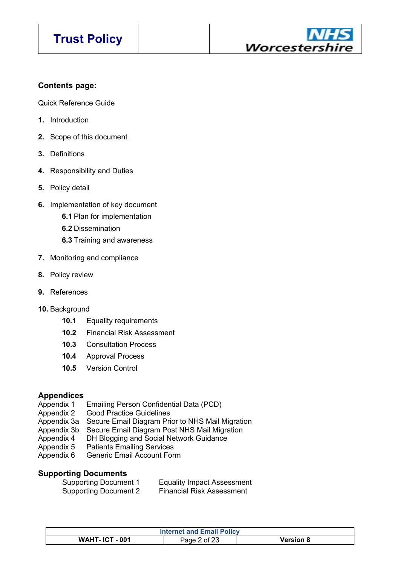

#### **Contents page:**

Quick Reference Guide

- **1.** Introduction
- **2.** Scope of this document
- **3.** Definitions
- **4.** Responsibility and Duties
- **5.** Policy detail
- **6.** Implementation of key document
	- **6.1** Plan for implementation
	- **6.2** Dissemination
	- **6.3** Training and awareness
- **7.** Monitoring and compliance
- **8.** Policy review
- **9.** References
- **10.** Background
	- **10.1** Equality requirements
	- **10.2** Financial Risk Assessment
	- **10.3** Consultation Process
	- **10.4** Approval Process
	- **10.5** Version Control

#### **Appendices**

- Appendix 1 Emailing Person Confidential Data (PCD)
- Appendix 2 Good Practice Guidelines
- Appendix 3a Secure Email Diagram Prior to NHS Mail Migration
- Appendix 3b Secure Email Diagram Post NHS Mail Migration
- Appendix 4 DH Blogging and Social Network Guidance
- Appendix 5 Patients Emailing Services
- Appendix 6 Generic Email Account Form

#### **Supporting Documents**

| <b>Supporting Document 1</b> | <b>Equality Impact Assessment</b> |
|------------------------------|-----------------------------------|
| <b>Supporting Document 2</b> | <b>Financial Risk Assessment</b>  |

| <b>Internet and Email Policy</b> |                      |           |
|----------------------------------|----------------------|-----------|
| <b>WAHT- ICT - 001</b>           | of 23<br>Page $\sim$ | Version 8 |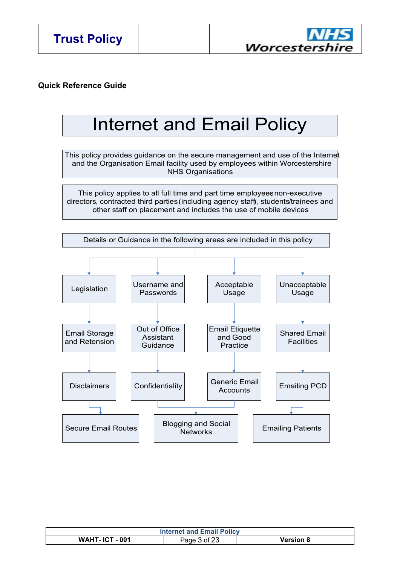

#### **Quick Reference Guide**

## Internet and Email Policy

This policy provides guidance on the secure management and use of the Internet and the Organisation Email facility used by employees within Worcestershire NHS Organisations

This policy applies to all full time and part time employees non-executive directors, contracted third parties (including agency staff), students/trainees and other staff on placement and includes the use of mobile devices.



| <b>Internet and Email Policy</b> |              |                  |
|----------------------------------|--------------|------------------|
| <b>WAHT- ICT - 001</b>           | Page 3 of 23 | <b>Version 8</b> |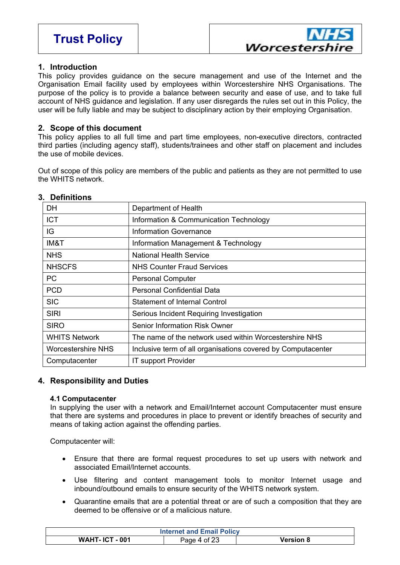

#### **1. Introduction**

This policy provides guidance on the secure management and use of the Internet and the Organisation Email facility used by employees within Worcestershire NHS Organisations. The purpose of the policy is to provide a balance between security and ease of use, and to take full account of NHS guidance and legislation. If any user disregards the rules set out in this Policy, the user will be fully liable and may be subject to disciplinary action by their employing Organisation.

#### **2. Scope of this document**

This policy applies to all full time and part time employees, non-executive directors, contracted third parties (including agency staff), students/trainees and other staff on placement and includes the use of mobile devices.

Out of scope of this policy are members of the public and patients as they are not permitted to use the WHITS network.

| DН                        | Department of Health                                         |
|---------------------------|--------------------------------------------------------------|
| <b>ICT</b>                | Information & Communication Technology                       |
| IG                        | Information Governance                                       |
| IM&T                      | Information Management & Technology                          |
| <b>NHS</b>                | <b>National Health Service</b>                               |
| <b>NHSCFS</b>             | <b>NHS Counter Fraud Services</b>                            |
| PC.                       | <b>Personal Computer</b>                                     |
| <b>PCD</b>                | <b>Personal Confidential Data</b>                            |
| <b>SIC</b>                | Statement of Internal Control                                |
| <b>SIRI</b>               | Serious Incident Requiring Investigation                     |
| <b>SIRO</b>               | <b>Senior Information Risk Owner</b>                         |
| <b>WHITS Network</b>      | The name of the network used within Worcestershire NHS       |
| <b>Worcestershire NHS</b> | Inclusive term of all organisations covered by Computacenter |
| Computacenter             | <b>IT support Provider</b>                                   |

#### **3. Definitions**

#### **4. Responsibility and Duties**

#### **4.1 Computacenter**

In supplying the user with a network and Email/Internet account Computacenter must ensure that there are systems and procedures in place to prevent or identify breaches of security and means of taking action against the offending parties.

Computacenter will:

- Ensure that there are formal request procedures to set up users with network and associated Email/Internet accounts.
- Use filtering and content management tools to monitor Internet usage and inbound/outbound emails to ensure security of the WHITS network system.
- Quarantine emails that are a potential threat or are of such a composition that they are deemed to be offensive or of a malicious nature.

| <b>Internet and Email Policy</b> |              |                  |
|----------------------------------|--------------|------------------|
| <b>WAHT-ICT-001</b>              | Page 4 of 23 | <b>Version 8</b> |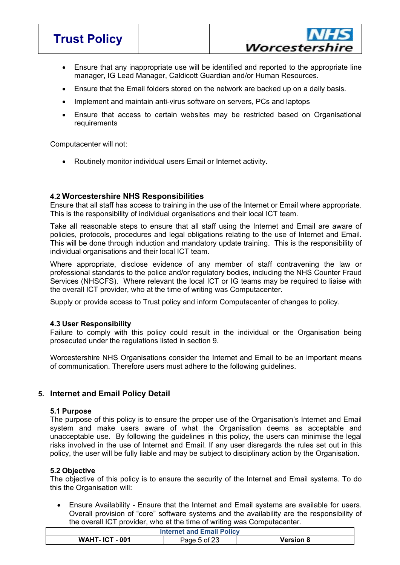

- Ensure that any inappropriate use will be identified and reported to the appropriate line manager, IG Lead Manager, Caldicott Guardian and/or Human Resources.
- Ensure that the Email folders stored on the network are backed up on a daily basis.
- Implement and maintain anti-virus software on servers, PCs and laptops
- Ensure that access to certain websites may be restricted based on Organisational requirements

Computacenter will not:

Routinely monitor individual users Email or Internet activity.

#### **4.2 Worcestershire NHS Responsibilities**

Ensure that all staff has access to training in the use of the Internet or Email where appropriate. This is the responsibility of individual organisations and their local ICT team.

Take all reasonable steps to ensure that all staff using the Internet and Email are aware of policies, protocols, procedures and legal obligations relating to the use of Internet and Email. This will be done through induction and mandatory update training. This is the responsibility of individual organisations and their local ICT team.

Where appropriate, disclose evidence of any member of staff contravening the law or professional standards to the police and/or regulatory bodies, including the NHS Counter Fraud Services (NHSCFS). Where relevant the local ICT or IG teams may be required to liaise with the overall ICT provider, who at the time of writing was Computacenter.

Supply or provide access to Trust policy and inform Computacenter of changes to policy.

#### **4.3 User Responsibility**

Failure to comply with this policy could result in the individual or the Organisation being prosecuted under the regulations listed in section 9.

Worcestershire NHS Organisations consider the Internet and Email to be an important means of communication. Therefore users must adhere to the following guidelines.

#### **5. Internet and Email Policy Detail**

#### **5.1 Purpose**

The purpose of this policy is to ensure the proper use of the Organisation's Internet and Email system and make users aware of what the Organisation deems as acceptable and unacceptable use. By following the guidelines in this policy, the users can minimise the legal risks involved in the use of Internet and Email. If any user disregards the rules set out in this policy, the user will be fully liable and may be subject to disciplinary action by the Organisation.

#### **5.2 Objective**

The objective of this policy is to ensure the security of the Internet and Email systems. To do this the Organisation will:

 Ensure Availability - Ensure that the Internet and Email systems are available for users. Overall provision of "core" software systems and the availability are the responsibility of the overall ICT provider, who at the time of writing was Computacenter.

| <b>Internet and Email Policy</b> |              |                  |
|----------------------------------|--------------|------------------|
| <b>WAHT-ICT-001</b>              | Page 5 of 23 | <b>Version 8</b> |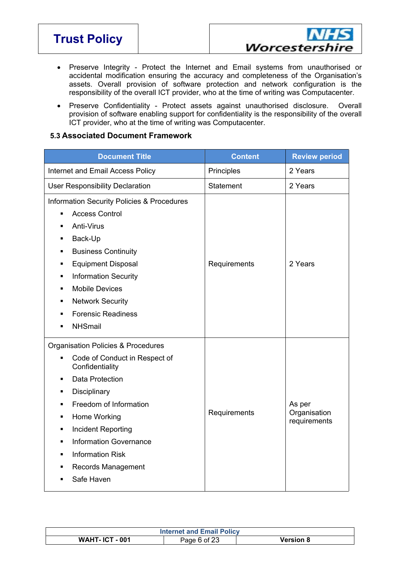**Trust Policy**



- Preserve Integrity Protect the Internet and Email systems from unauthorised or accidental modification ensuring the accuracy and completeness of the Organisation's assets. Overall provision of software protection and network configuration is the responsibility of the overall ICT provider, who at the time of writing was Computacenter.
- Preserve Confidentiality Protect assets against unauthorised disclosure. Overall provision of software enabling support for confidentiality is the responsibility of the overall ICT provider, who at the time of writing was Computacenter.

#### **5.3 Associated Document Framework**

| <b>Document Title</b>                                                                                                                                                                                                                                                                                                                                                            | <b>Content</b> | <b>Review period</b>                   |
|----------------------------------------------------------------------------------------------------------------------------------------------------------------------------------------------------------------------------------------------------------------------------------------------------------------------------------------------------------------------------------|----------------|----------------------------------------|
| Internet and Email Access Policy                                                                                                                                                                                                                                                                                                                                                 | Principles     | 2 Years                                |
| <b>User Responsibility Declaration</b>                                                                                                                                                                                                                                                                                                                                           | Statement      | 2 Years                                |
| <b>Information Security Policies &amp; Procedures</b><br><b>Access Control</b><br>٠<br>Anti-Virus<br>٠<br>Back-Up<br>٠<br><b>Business Continuity</b><br>٠<br><b>Equipment Disposal</b><br>٠<br><b>Information Security</b><br>٠<br><b>Mobile Devices</b><br>٠<br><b>Network Security</b><br>٠<br><b>Forensic Readiness</b><br>$\blacksquare$<br><b>NHSmail</b><br>$\blacksquare$ | Requirements   | 2 Years                                |
| Organisation Policies & Procedures<br>Code of Conduct in Respect of<br>$\blacksquare$<br>Confidentiality<br>Data Protection<br>٠<br>Disciplinary<br>٠<br>Freedom of Information<br>٠<br>Home Working<br>٠<br><b>Incident Reporting</b><br>٠<br><b>Information Governance</b><br>٠<br><b>Information Risk</b><br>٠<br>Records Management<br>٠<br>Safe Haven<br>٠                  | Requirements   | As per<br>Organisation<br>requirements |

| <b>Internet and Email Policy</b> |              |                  |
|----------------------------------|--------------|------------------|
| <b>WAHT-ICT-001</b>              | Page 6 of 23 | <b>Version 8</b> |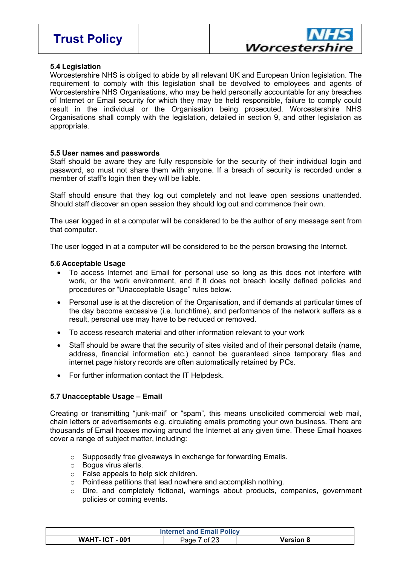

#### **5.4 Legislation**

Worcestershire NHS is obliged to abide by all relevant UK and European Union legislation. The requirement to comply with this legislation shall be devolved to employees and agents of Worcestershire NHS Organisations, who may be held personally accountable for any breaches of Internet or Email security for which they may be held responsible, failure to comply could result in the individual or the Organisation being prosecuted. Worcestershire NHS Organisations shall comply with the legislation, detailed in section 9, and other legislation as appropriate.

#### **5.5 User names and passwords**

Staff should be aware they are fully responsible for the security of their individual login and password, so must not share them with anyone. If a breach of security is recorded under a member of staff's login then they will be liable.

Staff should ensure that they log out completely and not leave open sessions unattended. Should staff discover an open session they should log out and commence their own.

The user logged in at a computer will be considered to be the author of any message sent from that computer.

The user logged in at a computer will be considered to be the person browsing the Internet.

#### **5.6 Acceptable Usage**

- To access Internet and Email for personal use so long as this does not interfere with work, or the work environment, and if it does not breach locally defined policies and procedures or "Unacceptable Usage" rules below.
- Personal use is at the discretion of the Organisation, and if demands at particular times of the day become excessive (i.e. lunchtime), and performance of the network suffers as a result, personal use may have to be reduced or removed.
- To access research material and other information relevant to your work
- Staff should be aware that the security of sites visited and of their personal details (name, address, financial information etc.) cannot be guaranteed since temporary files and internet page history records are often automatically retained by PCs.
- For further information contact the IT Helpdesk.

#### **5.7 Unacceptable Usage – Email**

Creating or transmitting "junk-mail" or "spam", this means unsolicited commercial web mail, chain letters or advertisements e.g. circulating emails promoting your own business. There are thousands of Email hoaxes moving around the Internet at any given time. These Email hoaxes cover a range of subject matter, including:

- o Supposedly free giveaways in exchange for forwarding Emails.
- o Bogus virus alerts.
- o False appeals to help sick children.
- o Pointless petitions that lead nowhere and accomplish nothing.
- o Dire, and completely fictional, warnings about products, companies, government policies or coming events.

| <b>Internet and Email Policy</b> |              |                  |
|----------------------------------|--------------|------------------|
| <b>WAHT-ICT-001</b>              | Page 7 of 23 | <b>Version 8</b> |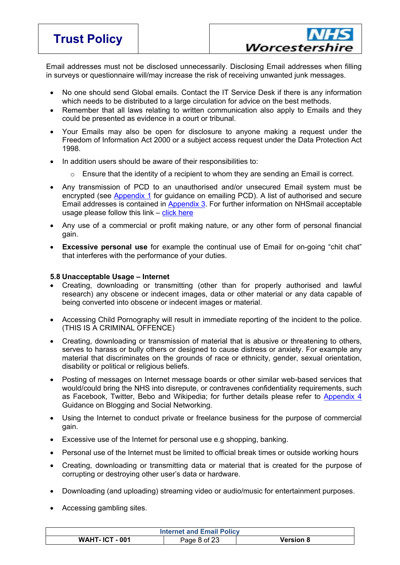- $8^{\circ}$  $\bar{\mathbf{u}}$ " 0 "870  $\overline{\phantom{a}}$  $#$  $" "$ " 8 " $0$  $\boldsymbol{\mathsf{S}}$  $#$  $\boldsymbol{\alpha}$  $#$ " #  $\mathcal{L}$  $/$ # "" 8  $#$ # #  $\mathbf{u}$  $5\phantom{.0}$  $#$  $\sqrt{ }$ 8  $E$  $#$  $\boldsymbol{0}$ ?
	- $\overline{2}$  $#$  $6<sup>1</sup>$ AA 8  $\mathbf{u}$  $\overline{2}$  $" " #"$  $\prime$  $#$
	- $\blacksquare$  $\#$  $/$ "#  $#$  $#$ 8  $\mathbf{H}$   $\mathbf{H}$  $#$  $\blacksquare$  $\mathbf{u}$  $9<sup>°</sup>$  $\mathbf{u}$  $#$  $;8$  $\overline{u}$  $986$  $#$  $$%8$  $\bar{\mathbf{u}}$  $/$  #  $0'$  G  $0$  #  $\mathbf{u}$  $\overline{0}$  $1<sup>1</sup>$  $#$  $\overline{8}$
	- ;<br>#  $\boldsymbol{9}$  $\#$  $\mathbf{u}$ 3  $C$  # # D " 8
- $0, 8$ 8  $\%$  $\mathfrak{S}$  $\sim 10^6$ ı,  $1 /$  $#$  $\#$  $\#$  $\sqrt{\phantom{a}}$  $\begin{smallmatrix} 1 \\ 1 \end{smallmatrix}$  $\theta_{\rm{max}}$  $\#$ ;  $\#$ 8
	- $\theta$   $\theta$  $#$  $#$  /  $#$ 8  $#$  $\frac{1}{2}$  % & & 5 \* \$ ' (66 \$  $\ddot{ }$ " 1  $1 /$  $\#$  $#$  $\#$  $\mathbf{u}^{\dagger}$  $\bar{\mathbf{u}}$  $\frac{\#}{\pi}$  $\mathbf{u} \cdot \mathbf{u}$  $#$  $\overline{9}$  $68$  $9\,$  $#$  $#$  $1<sup>1</sup>$  $1"9$  $\sim$  1  $#$  $\mathbf{u}$  $\mathbf{u}$  $^{\rm ^{\prime\prime}}$  8  $\mathbf{u}$  $\sim 0.00$
	- $\mathbf{u}$  .  $\mathbf{u}$  $#$  $+$  $\mathbf{u}$  $\overline{1}$  $\mathbf{3}$  $\mathbf{u}$  . # \$% &  $\overline{1}$ " 1 #  $\overline{?}$  $\overline{\phantom{a}}$  6  $01/11$  $\mathbf{1}$  0  $#$  $H$  $9@$  $\frac{1}{2}$  $8<sup>1</sup>$  $\lambda$  $/ 0$ 8  $\sim$   $\sim$
	- $\mathbf{u}$  $#$  $\mathbf{u}$  $#$  $8<sup>8</sup>$  $\bar{\mathbf{u}}$
	- $\sim 0000$  $\mathbf{u}$  $9<sup>°</sup>$  $#$ 8 " #  $\mathbf{1}$  $\mathbf 0$ 8  $\mathbf{u} = \mathbf{u}$  $\sim 0$  $\mathbf{u}$ 'n  $#$  $\mathbf 0$  $\prime$  $\frac{1}{1}$  $\mathbf{u}$  $\#$  $#$  $#$  $\ddot{\phantom{0}}$ **B** "  $\overline{1}$ 8
	- " 8  $\sqrt{2}$  $\ddot{\cdot}$  $\mathbf{u}$ " 8
	-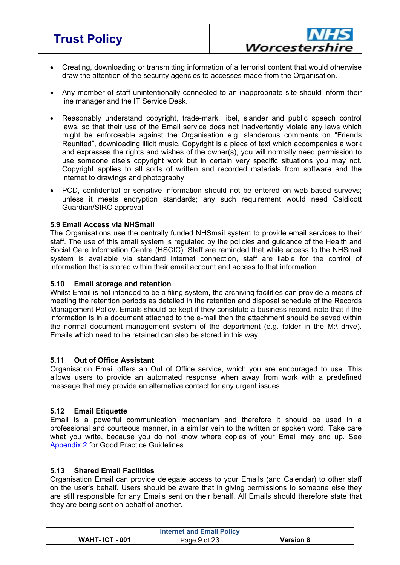| 1/<br>$\#$<br>$\sqrt{2}$                                                                                                                                                                                                                                  | $\mathbf H$<br>$\#$<br>$\mathbf H$<br>$\pmb{\mathsf{H}}$                                                                                                                                                                                                                                           | $\pmb{\mathsf{H}}$<br>$\#$<br>$\mathbf{H} \cdot \mathbf{H}$<br>$\mathbf H$<br>$\#$                                       | $\#$<br>$/$ "<br>$\mathbf H$<br>8                                                                                                                                                 |
|-----------------------------------------------------------------------------------------------------------------------------------------------------------------------------------------------------------------------------------------------------------|----------------------------------------------------------------------------------------------------------------------------------------------------------------------------------------------------------------------------------------------------------------------------------------------------|--------------------------------------------------------------------------------------------------------------------------|-----------------------------------------------------------------------------------------------------------------------------------------------------------------------------------|
| $\mathbf{H}$<br>$\#$                                                                                                                                                                                                                                      | &<br>$"08$                                                                                                                                                                                                                                                                                         | н.                                                                                                                       | #<br>" #                                                                                                                                                                          |
| 5<br>$\mathbf H$<br>$\pmb{\mathsf{H}}$<br>$\pmb{\mathsf{H}}$<br>$/$ " 1"<br>#<br>$\#$<br>#<br>5 <sub>5</sub><br>D V<br>$" " " " #$<br>9<br>$\mathbf{H}$<br>$\mathbf{H}$<br>$\mathbf{H}$<br>$\mathbb{L}^n$<br>$\pmb{\mathsf{H}}$<br>$\#$<br>$\overline{1}$ | $\mathfrak{S}$<br>#<br>1<br>$\#$<br>П<br>$\pmb{\mathsf{H}}$<br>$\blacksquare$<br>$\#$<br># $"$<br>$\,8\,$<br>W<br>$\sqrt{2}$<br>$\blacksquare$<br>" $\#$ "<br>$\#$<br>$\#$<br>$\prime$<br>$\#/$<br>$\mathbf 0$<br>$\mathbf{H}$<br>$\mathbf H$<br>$\sqrt{ }$<br>$\blacksquare$<br>#<br>$\,8\,$<br># | ''1<br>0 <sub>1</sub><br>8<br>8<br>$\mathbf H$<br>9/#<br>$\#$<br>$:$ "; 1<br>$\mathbf{u}$<br>$\mathbf H$<br>$\mathbf{H}$ | П<br>$\#$<br>/ " / $\#$<br>$\#$<br>C <sub>6</sub><br>$\mathbf{H}$<br>$\pmb{\mathsf{H}}$<br>"<br>$\pmb{0}$<br>$\mathbf{H} \in \mathbf{H}$<br>П.<br>8<br>$\pmb{\mathsf{H}}$<br>$\#$ |
| $\pmb{\mathsf{H}}$<br>1<br>$\mathbf{0}$ . $\mathbf{0}$<br>$\blacksquare$<br>, $8$<br>5(                                                                                                                                                                   | $"$ #<br>$\mathbf{H}$<br>"H<br>$\pmb{\mathsf{H}}$<br>8                                                                                                                                                                                                                                             | $\pmb{\mathsf{H}}$<br>#<br>$\gamma$                                                                                      | "H<br>$\pmb{\mathsf{H}}$<br>$\pmb{\mathsf{H}}$                                                                                                                                    |
| $\begin{smallmatrix}0~,~3\\~\# \end{smallmatrix}$<br>Ţ<br>$\overline{7}$<br>$\mathbf{m}$<br>#<br>$\mathbf{H}$<br>$\frac{1}{2}$<br>8#<br>п<br>#<br>$\pmb{\mathsf{H}}$<br>$\mathbf{H}$<br>$\#$<br>н.<br>$\mathbf{u}$                                        | \$ %8<br>$\mathbf{u}=\mathbf{u}$<br>$\mathbf H$<br>: % $\pmb{8}$<br>88<br>П.<br>#/<br>$\#$                                                                                                                                                                                                         | $\mathbf{u}=\mathbf{u}$<br>$\#$<br>$\mathbf{H}$<br>$\#$<br>$/$ #<br>$\mathbf{f}$<br>"#                                   | $\mathbf H$<br>#<br>$\#$<br># %<br>"" $\#$ \$ % &<br>$\#$<br>$\,8\,$                                                                                                              |

| 0,<br>!# | $\mathbf{H}$ |    | $\mathbf{H}$ |   |                               |   |                         | $\mathbf{u}$ and $\mathbf{u}$ | 1# |        | #            |                        | $\mathbf{H}$                      |                | $\pmb{\mathsf{H}}$    |              |
|----------|--------------|----|--------------|---|-------------------------------|---|-------------------------|-------------------------------|----|--------|--------------|------------------------|-----------------------------------|----------------|-----------------------|--------------|
|          |              |    |              |   | $\mathbf{H}$ and $\mathbf{H}$ |   |                         | #                             |    |        |              |                        | " " " #                           |                | # 5                   | $\mathbf{u}$ |
| $\star$  |              |    |              | 8 | " " #                         |   | 0                       |                               |    | $\#$ " |              | $\mathbf{H}_{\rm{in}}$ | $\mathbf{H} \cdot \mathbf{H}$     |                | #                     | #            |
|          |              | п. |              |   |                               | # |                         | $# \quad 3$                   |    |        |              |                        | $\#$ $\#$ $\#$ $\texttt{""}$ $\#$ |                | $^{\prime\prime}$ / # |              |
|          |              |    |              |   |                               |   | $\mathbf{H}=\mathbf{H}$ |                               | #  |        |              |                        |                                   | $: 88$ # $*2J$ |                       | ;8           |
|          | " $/$ #      |    | #            |   |                               |   |                         | $\mathbf{H}$                  |    |        | " $\#$ " / 8 |                        |                                   |                |                       |              |

|       | $0,$ # $8,$ # $8,$ & |  |  |                                                                                                                                                                 |                   |         |  |  |
|-------|----------------------|--|--|-----------------------------------------------------------------------------------------------------------------------------------------------------------------|-------------------|---------|--|--|
|       |                      |  |  | $\begin{pmatrix} 1 & 1 & 1 & 1 \\ 1 & 1 & 1 & 1 \\ 1 & 1 & 1 & 1 \end{pmatrix}$ $\begin{pmatrix} 1 & 1 & 1 & 1 \\ 1 & 1 & 1 & 1 \\ 1 & 1 & 1 & 1 \end{pmatrix}$ |                   | " 8 # " |  |  |
|       |                      |  |  |                                                                                                                                                                 | " " / # / ( 0 / # |         |  |  |
| " " # |                      |  |  |                                                                                                                                                                 | " " א             |         |  |  |

| $0,  \leq$ |  |                                                                                                                                                                                                                                                                                                                                                                                                                                                                                                         |    |  |
|------------|--|---------------------------------------------------------------------------------------------------------------------------------------------------------------------------------------------------------------------------------------------------------------------------------------------------------------------------------------------------------------------------------------------------------------------------------------------------------------------------------------------------------|----|--|
|            |  | where $\begin{array}{ccc} \hline \text{ } & \text{ } & \text{ } & \text{ } \end{array}$ $\begin{array}{ccc} & \text{ } & \text{ } & \text{ } & \text{ } & \text{ } \text{ } & \text{ } \text{ } & \text{ } \text{ } & \text{ } \text{ } & \text{ } \text{ } & \text{ } \text{ } \text{ } & \text{ } \text{ } & \text{ } \text{ } & \text{ } \text{ } & \text{ } \text{ } \text{ } & \text{ } \text{ } & \text{ } \text{ } & \text{ } \text{ } & \text{ } \text{ } & \text{ } \text{ } & \text{ } \text$ |    |  |
|            |  | "" "1 " # / " 0 / 8 0                                                                                                                                                                                                                                                                                                                                                                                                                                                                                   |    |  |
|            |  | $/$ # $/$ $/$ 1 $''$ 0 $/$ / $#$                                                                                                                                                                                                                                                                                                                                                                                                                                                                        | 88 |  |
|            |  | $\begin{array}{ccccccccccccc} & & 9 & & & & \end{array}$ ) and $\begin{array}{ccccccccccccc} & & & 9 & & & \end{array}$                                                                                                                                                                                                                                                                                                                                                                                 |    |  |
|            |  |                                                                                                                                                                                                                                                                                                                                                                                                                                                                                                         |    |  |

| $0, +$ |                                                |  |  |   |                                                                 |  |     |  |                                                                                                                                                                                                                                                                                                                                                                                      |  |  |   |
|--------|------------------------------------------------|--|--|---|-----------------------------------------------------------------|--|-----|--|--------------------------------------------------------------------------------------------------------------------------------------------------------------------------------------------------------------------------------------------------------------------------------------------------------------------------------------------------------------------------------------|--|--|---|
|        |                                                |  |  |   |                                                                 |  | . . |  | $\overline{a}$ $\overline{a}$ $\overline{a}$ $\overline{a}$ $\overline{a}$ $\overline{a}$ $\overline{a}$ $\overline{a}$ $\overline{a}$ $\overline{a}$ $\overline{a}$ $\overline{a}$ $\overline{a}$ $\overline{a}$ $\overline{a}$ $\overline{a}$ $\overline{a}$ $\overline{a}$ $\overline{a}$ $\overline{a}$ $\overline{a}$ $\overline{a}$ $\overline{a}$ $\overline{a}$ $\overline{$ |  |  |   |
|        |                                                |  |  |   |                                                                 |  |     |  | $\cdots$ $\cdots$ $\cdots$ $\cdots$ $\cdots$                                                                                                                                                                                                                                                                                                                                         |  |  |   |
|        | $\mathbf{u}$ and $\mathbf{u}$ and $\mathbf{u}$ |  |  |   | $\mathbf{H} \cdot \mathbf{H}$ and $\mathbf{H} \cdot \mathbf{H}$ |  | #   |  | # 8 ""# # "                                                                                                                                                                                                                                                                                                                                                                          |  |  | # |
|        | and the control of the control of              |  |  | # |                                                                 |  |     |  |                                                                                                                                                                                                                                                                                                                                                                                      |  |  |   |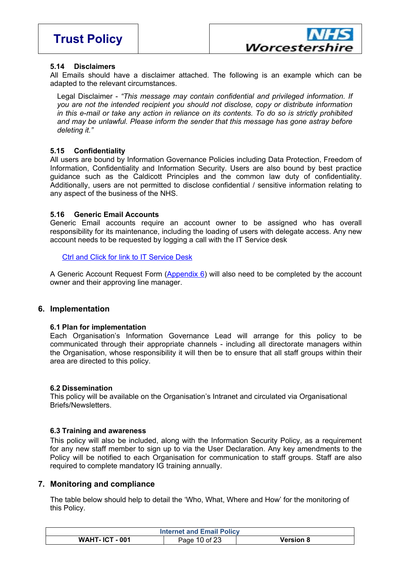

 $\frac{11}{11}$  # 8# /  $\frac{11}{11}$  9 /# #  $#$  $#$  $\mathbf{E}^{(1)}$  and  $\mathbf{E}^{(2)}$  .  $\mathbf{u} = \mathbf{u} \times \mathbf{u}$  .  $\overline{3}$ 















 $2, =$  \$

 $\frac{\#}{\#}$  "/# # K!# #1 !# 1 !# % / B #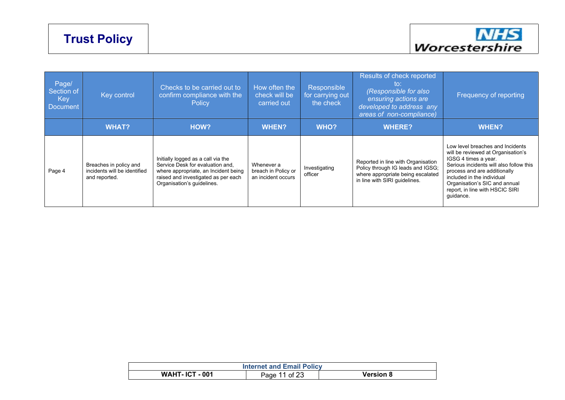### **Trust Policy**



| Page/<br>Section of<br>Key<br>Document | Key control                                                             | Checks to be carried out to<br>confirm compliance with the<br>Policy                                                                                                                | How often the<br>check will be<br>carried out           | Responsible<br>for carrying out<br>the check | Results of check reported<br>to:<br>(Responsible for also<br>ensuring actions are<br>developed to address any<br>areas of non-compliance)     | Frequency of reporting                                                                                                                                                                                                                                                                   |
|----------------------------------------|-------------------------------------------------------------------------|-------------------------------------------------------------------------------------------------------------------------------------------------------------------------------------|---------------------------------------------------------|----------------------------------------------|-----------------------------------------------------------------------------------------------------------------------------------------------|------------------------------------------------------------------------------------------------------------------------------------------------------------------------------------------------------------------------------------------------------------------------------------------|
|                                        | <b>WHAT?</b>                                                            | HOW?                                                                                                                                                                                | <b>WHEN?</b>                                            | WHO?                                         | <b>WHERE?</b>                                                                                                                                 | <b>WHEN?</b>                                                                                                                                                                                                                                                                             |
| Page 4                                 | Breaches in policy and<br>incidents will be identified<br>and reported. | Initially logged as a call via the<br>Service Desk for evaluation and,<br>where appropriate, an Incident being<br>raised and investigated as per each<br>Organisation's guidelines. | Whenever a<br>breach in Policy or<br>an incident occurs | Investigating<br>officer                     | Reported in line with Organisation<br>Policy through IG leads and IGSG;<br>where appropriate being escalated<br>in line with SIRI guidelines. | Low level breaches and Incidents<br>will be reviewed at Organisation's<br>IGSG 4 times a year.<br>Serious incidents will also follow this<br>process and are additionally<br>included in the individual<br>Organisation's SIC and annual<br>report, in line with HSCIC SIRI<br>guidance. |

| <b>Internet and Email Policy</b> |                               |           |  |  |  |  |  |
|----------------------------------|-------------------------------|-----------|--|--|--|--|--|
| .10T<br>$-001$<br>WAHT           | $\cdot$ of 22 $\cdot$<br>Page | Version 8 |  |  |  |  |  |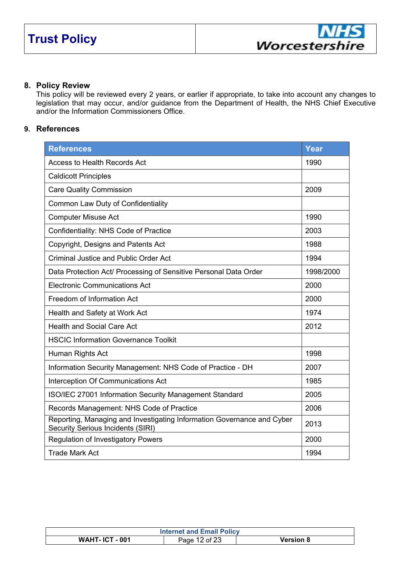#### **8. Policy Review**

This policy will be reviewed every 2 years, or earlier if appropriate, to take into account any changes to legislation that may occur, and/or guidance from the Department of Health, the NHS Chief Executive and/or the Information Commissioners Office.

#### **9. References**

| <b>References</b>                                                                                                  | Year      |
|--------------------------------------------------------------------------------------------------------------------|-----------|
| <b>Access to Health Records Act</b>                                                                                | 1990      |
| <b>Caldicott Principles</b>                                                                                        |           |
| <b>Care Quality Commission</b>                                                                                     | 2009      |
| Common Law Duty of Confidentiality                                                                                 |           |
| <b>Computer Misuse Act</b>                                                                                         | 1990      |
| Confidentiality: NHS Code of Practice                                                                              | 2003      |
| Copyright, Designs and Patents Act                                                                                 | 1988      |
| <b>Criminal Justice and Public Order Act</b>                                                                       | 1994      |
| Data Protection Act/ Processing of Sensitive Personal Data Order                                                   | 1998/2000 |
| <b>Electronic Communications Act</b>                                                                               | 2000      |
| Freedom of Information Act                                                                                         | 2000      |
| Health and Safety at Work Act                                                                                      | 1974      |
| <b>Health and Social Care Act</b>                                                                                  | 2012      |
| <b>HSCIC Information Governance Toolkit</b>                                                                        |           |
| Human Rights Act                                                                                                   | 1998      |
| Information Security Management: NHS Code of Practice - DH                                                         | 2007      |
| Interception Of Communications Act                                                                                 | 1985      |
| ISO/IEC 27001 Information Security Management Standard                                                             | 2005      |
| Records Management: NHS Code of Practice                                                                           | 2006      |
| Reporting, Managing and Investigating Information Governance and Cyber<br><b>Security Serious Incidents (SIRI)</b> | 2013      |
| <b>Regulation of Investigatory Powers</b>                                                                          | 2000      |
| <b>Trade Mark Act</b>                                                                                              | 1994      |

| <b>Internet and Email Policy</b> |                 |           |  |  |  |  |  |
|----------------------------------|-----------------|-----------|--|--|--|--|--|
| <b>WAHT-ICT-001</b>              | of $23$<br>Page | Version 8 |  |  |  |  |  |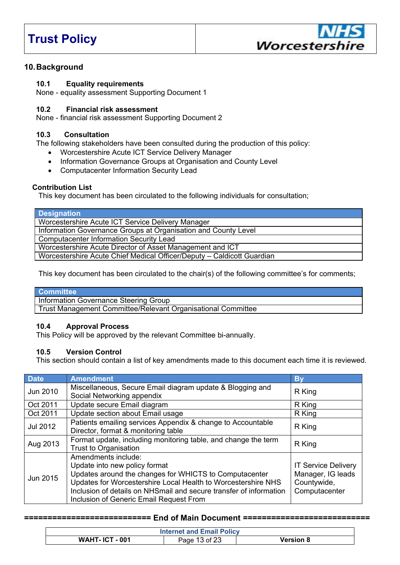### **Trust Policy**



#### **10.Background**

#### **10.1 Equality requirements**

None - equality assessment Supporting Document 1

#### **10.2 Financial risk assessment**

None - financial risk assessment Supporting Document 2

#### **10.3 Consultation**

The following stakeholders have been consulted during the production of this policy:

- Worcestershire Acute ICT Service Delivery Manager
- Information Governance Groups at Organisation and County Level
- Computacenter Information Security Lead

#### **Contribution List**

This key document has been circulated to the following individuals for consultation;

| <b>Designation</b>                                                     |
|------------------------------------------------------------------------|
| Worcestershire Acute ICT Service Delivery Manager                      |
| Information Governance Groups at Organisation and County Level         |
| <b>Computacenter Information Security Lead</b>                         |
| Worcestershire Acute Director of Asset Management and ICT              |
| Worcestershire Acute Chief Medical Officer/Deputy - Caldicott Guardian |

This key document has been circulated to the chair(s) of the following committee's for comments;

#### **Committee**

Information Governance Steering Group

Trust Management Committee/Relevant Organisational Committee

#### **10.4 Approval Process**

This Policy will be approved by the relevant Committee bi-annually.

#### **10.5 Version Control**

This section should contain a list of key amendments made to this document each time it is reviewed.

| <b>Date</b> | <b>Amendment</b>                                                                                                                                                                                                                                                                                 | <b>By</b>                                                                       |  |  |  |
|-------------|--------------------------------------------------------------------------------------------------------------------------------------------------------------------------------------------------------------------------------------------------------------------------------------------------|---------------------------------------------------------------------------------|--|--|--|
| Jun 2010    | Miscellaneous, Secure Email diagram update & Blogging and<br>Social Networking appendix                                                                                                                                                                                                          |                                                                                 |  |  |  |
| Oct 2011    | Update secure Email diagram                                                                                                                                                                                                                                                                      | R King                                                                          |  |  |  |
| Oct 2011    | Update section about Email usage                                                                                                                                                                                                                                                                 | R King                                                                          |  |  |  |
| Jul 2012    | Patients emailing services Appendix & change to Accountable<br>Director, format & monitoring table                                                                                                                                                                                               | R King                                                                          |  |  |  |
| Aug 2013    | Format update, including monitoring table, and change the term<br>Trust to Organisation                                                                                                                                                                                                          | R King                                                                          |  |  |  |
| Jun 2015    | Amendments include:<br>Update into new policy format<br>Updates around the changes for WHICTS to Computacenter<br>Updates for Worcestershire Local Health to Worcestershire NHS<br>Inclusion of details on NHSmail and secure transfer of information<br>Inclusion of Generic Email Request From | <b>IT Service Delivery</b><br>Manager, IG leads<br>Countywide,<br>Computacenter |  |  |  |

#### **=========================== End of Main Document ===========================**

| <b>Internet and Email Policy</b> |               |                  |  |  |
|----------------------------------|---------------|------------------|--|--|
| <b>WAHT-ICT-001</b>              | Page 13 of 23 | <b>Version 8</b> |  |  |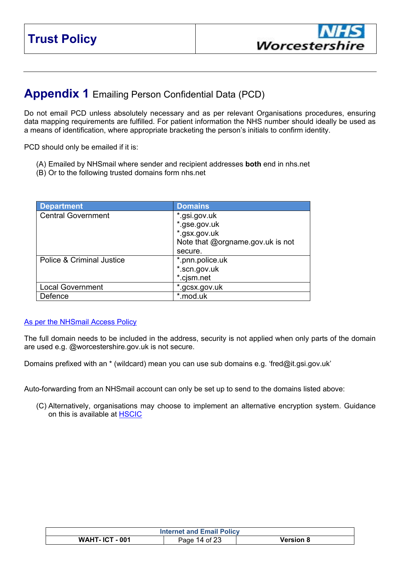<span id="page-13-0"></span>

|        | H,<br>8<br>M 8<br>8<br>$\overline{0}$        |
|--------|----------------------------------------------|
|        | Ш<br>M 8<br>8<br>8<br>$\overline{0}$         |
|        | M <sub>8</sub><br>"98<br>8<br>$\overline{0}$ |
|        | \$<br>$\#$<br>N<br>8'<br>8<br>- 0            |
|        | $\mathbf{H}$<br>8                            |
| ш<br>4 | 8<br>M <sub>8</sub><br>8<br>$\overline{0}$   |
|        | M 8"<br>8<br>$\overline{0}$<br>8             |
|        | M 8<br>7 " 8                                 |
| ٠      | M 8<br>"98<br>8<br>$\overline{\mathbf{0}}$   |
|        | M 8<br>8<br>$\mathbf 0$                      |

### $\begin{array}{ccc} \text{...} & \text{...} & \text{...} \\ \text{...} & \text{...} & \text{...} \\ \text{...} & \text{...} & \text{...} \\ \text{...} & \text{...} & \text{...} \\ \text{...} & \text{...} & \text{...} \\ \text{...} & \text{...} & \text{...} \\ \text{...} & \text{...} & \text{...} \\ \text{...} & \text{...} & \text{...} \\ \text{...} & \text{...} & \text{...} \\ \text{...} & \text{...} & \text{...} \\ \text{...} & \text{...} & \text{...} \\ \text{...} & \text{...} & \text{$

|                |  |  |  | " 9 / # M : / ; " " " 8 8 K N 8 " 8 8 OB |  |  |  |  |  |  |        |  |  |
|----------------|--|--|--|------------------------------------------|--|--|--|--|--|--|--------|--|--|
| $3 / 1$ \$ % & |  |  |  |                                          |  |  |  |  |  |  |        |  |  |
|                |  |  |  |                                          |  |  |  |  |  |  | " " 8) |  |  |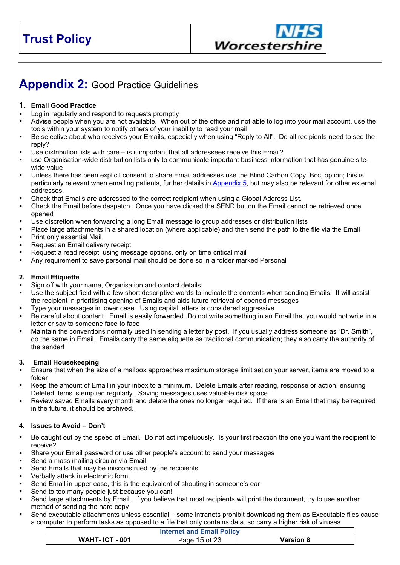$-$  " )  $\frac{1}{2}$  $\lambda$ 

<span id="page-14-0"></span> $\overline{6}$  $\frac{1}{2}$  $\mathbf{L}$  $\gamma$  $/\,\underset{_{\mathrm{H}}}{\#}$  ,  $!# 8$  $\#$  $\mathbf{1}$  $#$ "  $/$  #  $#$  $/$ #  $\blacksquare$  1 D 8  $/$  # "  $C<sub>5</sub>$  $#$  $O$ <sub>"</sub>  $\begin{array}{ccc} \cdots & \cdots & / & \begin{array}{c} \pi \\ \end{array} \end{array}$  $\mathbf{u}^{\dagger}$ "  $#$ G  $#$ " O  $3/$  $\mathbf{u}^{\pm}$  $\mathbf{u}$  $\mathbf{u}$  $\,$ u 3  $\overline{(\ }$  $#$  $#$  $\mathbf{u}$  $\mathbf{u}$  .  $#$ " #  $#$  $\overline{9}$  $\mathbf{u}$  $\mathbf{H}$  $\cdot$ #  $1.$  $1$  $H$ "#  $\mathbf{u}$  $\overline{91}$ " 1  $/$  #  $#$  $\boldsymbol{9}$  $\#$ " 8  $\mathbf{u}$  $......$  8  $\mathbf{u}$  $\mathbf{u}$ )  $/$  #  $#$  $\overline{0}$  $#$  $#$  $\begin{array}{cc} & \cdot & \\ \# & \mathbf{OS} & \mathbf{\$} \end{array}$  $\bar{\mathbf{u}}$  $\#$  8  $\#$  $+$  $\#$  $\overline{0}$  $\overline{\phantom{a}}$  $^{\#}$  $\mathbf{u}$  $\mathbf{u}$  $/$  # " #  $\#$  $\div$  /  $\#$  $\#$  "  $#$  $#$ ;  $\#$  $\#$  $\mathbf{u}$  $\mathbf{u}$  $5<sup>2</sup>$  $\hat{\mathbf{u}}$  $\frac{1}{n}$  $5 \t?$  $\mathbf{u}$  . " 1  $\overline{?}$  $\mathbf{u}$ " #  $\overline{0}$  $\mathbf{u}$  $\prec$  $\frac{8}{1}$  $\sqrt{ }$  $#$  $1($  $\overline{7}$  $\mathbf{0} \mid \mathbf{0}$  $#$ / "# "/  $\#$ " 8  $\overline{1}$  $#$ 

 $\bar{\mathbf{u}}$ 

 $#$  $\mathbf{r}$  $\bar{\mathbf{u}}$  $\sqrt{ }$ 8 8  $\overline{1}$ 8  $\overline{1}$  $#$  $\frac{1}{2}$  $\#$ "C 8 &  $" 8$  $\mathbf{u}$  $\mathbf{u}$  $#D1$  $\sim 0$  $?$  "  $\blacksquare$  $\bf 8$ # H  $#$  $\frac{\#}{\pi}$  $\#$  $\overline{P}$  $#$ 

 $\begin{array}{c} 5 \\ # / # \end{array}$  $*$   $*$   $\circ$  $\gamma$  ,  $\gamma$  ,  $\gamma$  $\mathbf{u}$  $\mathbf{u}$  $\mathbf{1}$  $\mathbf{u}$ 9# "  $\boldsymbol{9}$  $\bar{\mathbf{u}}$  $\begin{array}{c} 8 \\ \text{m} \\ \text{m} \end{array}$  $\mathsf{F}^{\scriptscriptstyle\top}$  $#$  $\overline{1}$  $\overline{\mathbf{u}}$  $1"$  $\boldsymbol{9}$  $\mathbf{u}$  $\&$  $\overline{8}$ " በ "

 $\mathbf{u}^{\top}$  $\mathbf{u}$  $\overline{?}$  $5<sup>1</sup>$  $#$  $#$  $\overline{?}$ 8#  $\mathbf{u}$  $#$  $\sqrt{ }$  $"#$  $#$  $\overline{1}$  $\overline{8}$  $#$ 

 $\mathcal I$  ,  $1 - 1$  .  $\sf B$ 

 $\begin{array}{c} \# \\ \mathsf{O} \end{array}$  $#$  $\mathbf{u}$  $8$  $\mathbf{u}$  $\overline{8}$  $#$  $\sqrt{ }$  $#$  $\mathbf{u}$  $\ddot{\phantom{a}}$  $" "$  $\mathbf{u}$  $#$  $B$ " &  $#$ 

&<br>&  $\#$  $#$ 

 $\overline{0}$  $\bar{\mathbf{u}}$  $B$ "  $\mathbf{1}$ ?

 $888$ ı,  $\overline{7}$  $\prime$  "  $#$  $\#$ 8  $#$  $\mathbf{1}$  $\#$  $#$  $#$  $#$  $\&$ G 9 9  $#$  $#$ # " 0 "  $#$ #1 # " 0

 $\omega$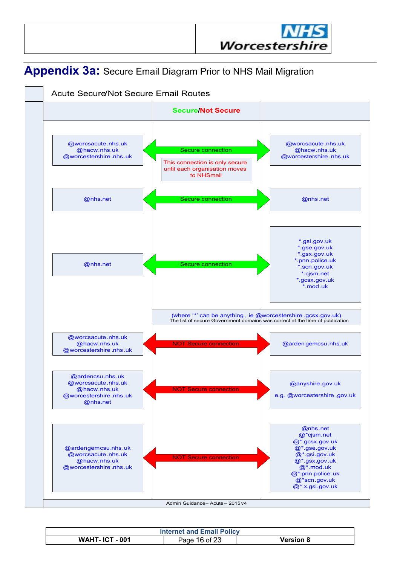

### <span id="page-15-0"></span>**Appendix 3a:** Secure Email Diagram Prior to NHS Mail Migration



| <b>Internet and Email Policy</b> |                  |                      |  |  |  |  |
|----------------------------------|------------------|----------------------|--|--|--|--|
| <b>WAHT-ICT-001</b>              | 16 of 23<br>Page | Version <b>&amp;</b> |  |  |  |  |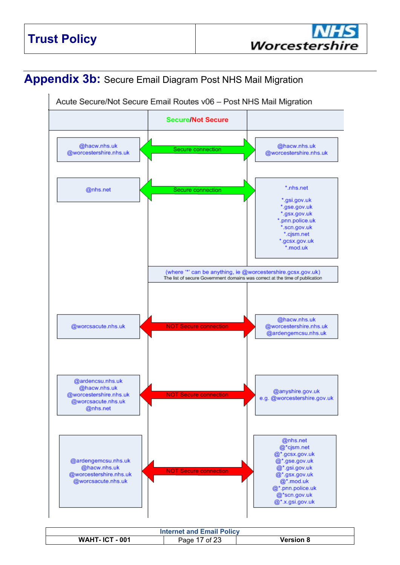### <span id="page-16-0"></span>**Appendix 3b:** Secure Email Diagram Post NHS Mail Migration



| <b>Internet and Email Policy</b> |                 |           |  |  |  |  |
|----------------------------------|-----------------|-----------|--|--|--|--|
| <b>WAHT- ICT - 001</b>           | of $23$<br>Page | Version 8 |  |  |  |  |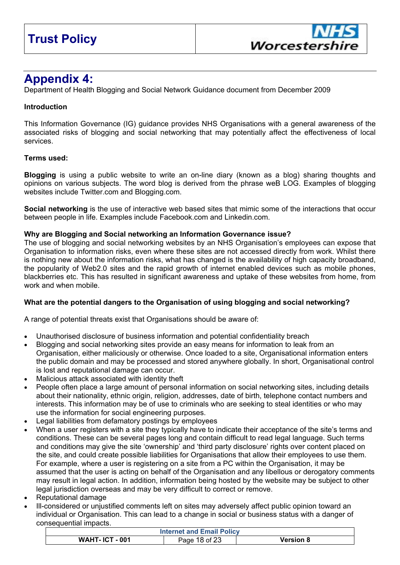### **Appendix 4:**

Department of Health Blogging and Social Network Guidance document from December 2009

#### **Introduction**

This Information Governance (IG) guidance provides NHS Organisations with a general awareness of the associated risks of blogging and social networking that may potentially affect the effectiveness of local services.

#### **Terms used:**

**Blogging** is using a public website to write an on-line diary (known as a blog) sharing thoughts and opinions on various subjects. The word blog is derived from the phrase weB LOG. Examples of blogging websites include Twitter.com and Blogging.com.

**Social networking** is the use of interactive web based sites that mimic some of the interactions that occur between people in life. Examples include Facebook.com and Linkedin.com.

#### **Why are Blogging and Social networking an Information Governance issue?**

The use of blogging and social networking websites by an NHS Organisation's employees can expose that Organisation to information risks, even where these sites are not accessed directly from work. Whilst there is nothing new about the information risks, what has changed is the availability of high capacity broadband, the popularity of Web2.0 sites and the rapid growth of internet enabled devices such as mobile phones, blackberries etc. This has resulted in significant awareness and uptake of these websites from home, from work and when mobile

#### **What are the potential dangers to the Organisation of using blogging and social networking?**

A range of potential threats exist that Organisations should be aware of:

- Unauthorised disclosure of business information and potential confidentiality breach
- Blogging and social networking sites provide an easy means for information to leak from an Organisation, either maliciously or otherwise. Once loaded to a site, Organisational information enters the public domain and may be processed and stored anywhere globally. In short, Organisational control is lost and reputational damage can occur.
- Malicious attack associated with identity theft
- People often place a large amount of personal information on social networking sites, including details about their nationality, ethnic origin, religion, addresses, date of birth, telephone contact numbers and interests. This information may be of use to criminals who are seeking to steal identities or who may use the information for social engineering purposes.
- Legal liabilities from defamatory postings by employees
- When a user registers with a site they typically have to indicate their acceptance of the site's terms and conditions. These can be several pages long and contain difficult to read legal language. Such terms and conditions may give the site 'ownership' and 'third party disclosure' rights over content placed on the site, and could create possible liabilities for Organisations that allow their employees to use them. For example, where a user is registering on a site from a PC within the Organisation, it may be assumed that the user is acting on behalf of the Organisation and any libellous or derogatory comments may result in legal action. In addition, information being hosted by the website may be subject to other legal jurisdiction overseas and may be very difficult to correct or remove.
- Reputational damage
- Ill-considered or unjustified comments left on sites may adversely affect public opinion toward an individual or Organisation. This can lead to a change in social or business status with a danger of consequential impacts.

| <b>Internet and Email Policy</b> |               |           |  |  |  |
|----------------------------------|---------------|-----------|--|--|--|
| <b>WAHT-ICT-001</b>              | Page 18 of 23 | Version 8 |  |  |  |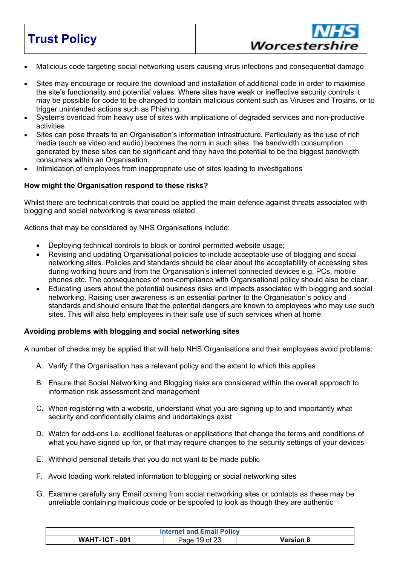### **Trust Policy**

Malicious code targeting social networking users causing virus infections and consequential damage

Worcestershire

- Sites may encourage or require the download and installation of additional code in order to maximise the site's functionality and potential values. Where sites have weak or ineffective security controls it may be possible for code to be changed to contain malicious content such as Viruses and Trojans, or to trigger unintended actions such as Phishing.
- Systems overload from heavy use of sites with implications of degraded services and non-productive activities
- Sites can pose threats to an Organisation's information infrastructure. Particularly as the use of rich media (such as video and audio) becomes the norm in such sites, the bandwidth consumption generated by these sites can be significant and they have the potential to be the biggest bandwidth consumers within an Organisation.
- Intimidation of employees from inappropriate use of sites leading to investigations

#### **How might the Organisation respond to these risks?**

Whilst there are technical controls that could be applied the main defence against threats associated with blogging and social networking is awareness related.

Actions that may be considered by NHS Organisations include:

- Deploying technical controls to block or control permitted website usage;
- Revising and updating Organisational policies to include acceptable use of blogging and social networking sites. Policies and standards should be clear about the acceptability of accessing sites during working hours and from the Organisation's internet connected devices e.g. PCs, mobile phones etc. The consequences of non-compliance with Organisational policy should also be clear;
- Educating users about the potential business risks and impacts associated with blogging and social networking. Raising user awareness is an essential partner to the Organisation's policy and standards and should ensure that the potential dangers are known to employees who may use such sites. This will also help employees in their safe use of such services when at home.

#### **Avoiding problems with blogging and social networking sites**

A number of checks may be applied that will help NHS Organisations and their employees avoid problems:

- A. Verify if the Organisation has a relevant policy and the extent to which this applies
- B. Ensure that Social Networking and Blogging risks are considered within the overall approach to information risk assessment and management
- C. When registering with a website, understand what you are signing up to and importantly what security and confidentially claims and undertakings exist
- D. Watch for add-ons i.e. additional features or applications that change the terms and conditions of what you have signed up for, or that may require changes to the security settings of your devices
- E. Withhold personal details that you do not want to be made public
- F. Avoid loading work related information to blogging or social networking sites
- G. Examine carefully any Email coming from social networking sites or contacts as these may be unreliable containing malicious code or be spoofed to look as though they are authentic

| <b>Internet and Email Policy</b> |               |                  |  |  |  |
|----------------------------------|---------------|------------------|--|--|--|
| <b>WAHT-ICT-001</b>              | Page 19 of 23 | <b>Version 8</b> |  |  |  |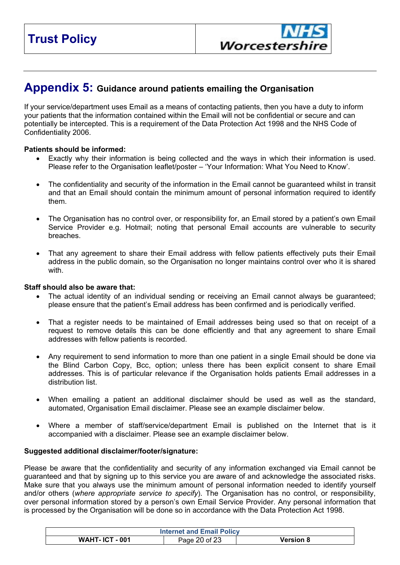<span id="page-19-0"></span>

### **Appendix 5: Guidance around patients emailing the Organisation**

If your service/department uses Email as a means of contacting patients, then you have a duty to inform your patients that the information contained within the Email will not be confidential or secure and can potentially be intercepted. This is a requirement of the Data Protection Act 1998 and the NHS Code of Confidentiality 2006.

#### **Patients should be informed:**

- Exactly why their information is being collected and the ways in which their information is used. Please refer to the Organisation leaflet/poster – 'Your Information: What You Need to Know'.
- The confidentiality and security of the information in the Email cannot be guaranteed whilst in transit and that an Email should contain the minimum amount of personal information required to identify them.
- The Organisation has no control over, or responsibility for, an Email stored by a patient's own Email Service Provider e.g. Hotmail; noting that personal Email accounts are vulnerable to security breaches.
- That any agreement to share their Email address with fellow patients effectively puts their Email address in the public domain, so the Organisation no longer maintains control over who it is shared with.

#### **Staff should also be aware that:**

- The actual identity of an individual sending or receiving an Email cannot always be guaranteed; please ensure that the patient's Email address has been confirmed and is periodically verified.
- That a register needs to be maintained of Email addresses being used so that on receipt of a request to remove details this can be done efficiently and that any agreement to share Email addresses with fellow patients is recorded.
- Any requirement to send information to more than one patient in a single Email should be done via the Blind Carbon Copy, Bcc, option; unless there has been explicit consent to share Email addresses. This is of particular relevance if the Organisation holds patients Email addresses in a distribution list.
- When emailing a patient an additional disclaimer should be used as well as the standard, automated, Organisation Email disclaimer. Please see an example disclaimer below.
- Where a member of staff/service/department Email is published on the Internet that is it accompanied with a disclaimer. Please see an example disclaimer below.

#### **Suggested additional disclaimer/footer/signature:**

Please be aware that the confidentiality and security of any information exchanged via Email cannot be guaranteed and that by signing up to this service you are aware of and acknowledge the associated risks. Make sure that you always use the minimum amount of personal information needed to identify yourself and/or others (*where appropriate service to specify*). The Organisation has no control, or responsibility, over personal information stored by a person's own Email Service Provider. Any personal information that is processed by the Organisation will be done so in accordance with the Data Protection Act 1998.

| <b>Internet and Email Policy</b> |               |                  |  |  |  |
|----------------------------------|---------------|------------------|--|--|--|
| <b>WAHT-ICT-001</b>              | Page 20 of 23 | <b>Version 8</b> |  |  |  |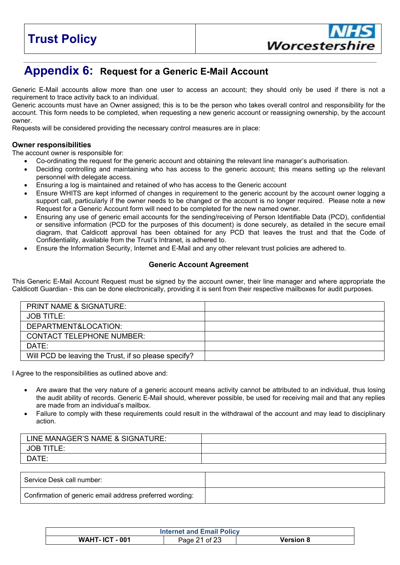

### **Appendix 6: Request for a Generic E-Mail Account**

Generic E-Mail accounts allow more than one user to access an account; they should only be used if there is not a requirement to trace activity back to an individual.

Generic accounts must have an Owner assigned; this is to be the person who takes overall control and responsibility for the account. This form needs to be completed, when requesting a new generic account or reassigning ownership, by the account owner.

Requests will be considered providing the necessary control measures are in place:

#### **Owner responsibilities**

The account owner is responsible for:

- Co-ordinating the request for the generic account and obtaining the relevant line manager's authorisation.
- Deciding controlling and maintaining who has access to the generic account; this means setting up the relevant personnel with delegate access.
- Ensuring a log is maintained and retained of who has access to the Generic account
- Ensure WHITS are kept informed of changes in requirement to the generic account by the account owner logging a support call, particularly if the owner needs to be changed or the account is no longer required. Please note a new Request for a Generic Account form will need to be completed for the new named owner.
- Ensuring any use of generic email accounts for the sending/receiving of Person Identifiable Data (PCD), confidential or sensitive information (PCD for the purposes of this document) is done securely, as detailed in the secure email diagram, that Caldicott approval has been obtained for any PCD that leaves the trust and that the Code of Confidentiality, available from the Trust's Intranet, is adhered to.
- Ensure the Information Security, Internet and E-Mail and any other relevant trust policies are adhered to.

#### **Generic Account Agreement**

This Generic E-Mail Account Request must be signed by the account owner, their line manager and where appropriate the Caldicott Guardian - this can be done electronically, providing it is sent from their respective mailboxes for audit purposes.

| <b>PRINT NAME &amp; SIGNATURE:</b>                   |  |
|------------------------------------------------------|--|
| JOB TITLE:                                           |  |
| DEPARTMENT&LOCATION:                                 |  |
| <b>CONTACT TELEPHONE NUMBER:</b>                     |  |
| DATE:                                                |  |
| Will PCD be leaving the Trust, if so please specify? |  |

I Agree to the responsibilities as outlined above and:

- Are aware that the very nature of a generic account means activity cannot be attributed to an individual, thus losing the audit ability of records. Generic E-Mail should, wherever possible, be used for receiving mail and that any replies are made from an individual's mailbox.
- Failure to comply with these requirements could result in the withdrawal of the account and may lead to disciplinary action.

| LINE MANAGER'S NAME & SIGNATURE: |  |
|----------------------------------|--|
| JOB 1<br>TITLE:                  |  |
| DATE:                            |  |
|                                  |  |

| Service Desk call number:                                |  |
|----------------------------------------------------------|--|
| Confirmation of generic email address preferred wording: |  |

| <b>Internet and Email Policy</b> |               |                  |
|----------------------------------|---------------|------------------|
| <b>WAHT- ICT - 001</b>           | Page 21 of 23 | <b>Version 8</b> |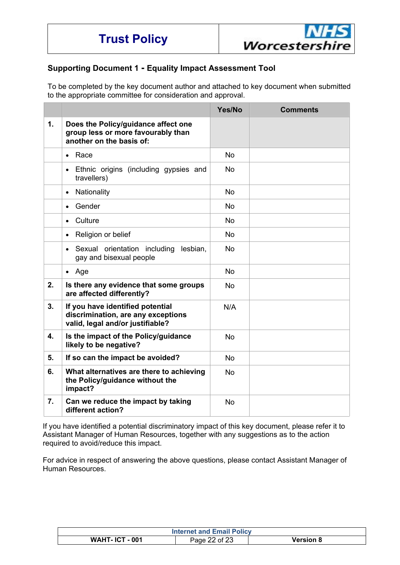

#### **Supporting Document 1 - Equality Impact Assessment Tool**

To be completed by the key document author and attached to key document when submitted to the appropriate committee for consideration and approval.

|                |                                                                                                            | Yes/No    | <b>Comments</b> |
|----------------|------------------------------------------------------------------------------------------------------------|-----------|-----------------|
| $\mathbf{1}$ . | Does the Policy/guidance affect one<br>group less or more favourably than<br>another on the basis of:      |           |                 |
|                | Race<br>$\bullet$                                                                                          | <b>No</b> |                 |
|                | Ethnic origins (including gypsies and<br>$\bullet$<br>travellers)                                          | <b>No</b> |                 |
|                | Nationality<br>$\bullet$                                                                                   | <b>No</b> |                 |
|                | Gender<br>$\bullet$                                                                                        | <b>No</b> |                 |
|                | Culture<br>$\bullet$                                                                                       | <b>No</b> |                 |
|                | Religion or belief<br>$\bullet$                                                                            | <b>No</b> |                 |
|                | Sexual orientation including<br>lesbian.<br>$\bullet$<br>gay and bisexual people                           | <b>No</b> |                 |
|                | $\bullet$ Age                                                                                              | <b>No</b> |                 |
| 2.             | Is there any evidence that some groups<br>are affected differently?                                        | <b>No</b> |                 |
| 3.             | If you have identified potential<br>discrimination, are any exceptions<br>valid, legal and/or justifiable? | N/A       |                 |
| 4.             | Is the impact of the Policy/guidance<br>likely to be negative?                                             | <b>No</b> |                 |
| 5.             | If so can the impact be avoided?                                                                           | <b>No</b> |                 |
| 6.             | What alternatives are there to achieving<br>the Policy/guidance without the<br>impact?                     | <b>No</b> |                 |
| 7.             | Can we reduce the impact by taking<br>different action?                                                    | <b>No</b> |                 |

If you have identified a potential discriminatory impact of this key document, please refer it to Assistant Manager of Human Resources, together with any suggestions as to the action required to avoid/reduce this impact.

For advice in respect of answering the above questions, please contact Assistant Manager of Human Resources.

| <b>Internet and Email Policy</b> |               |                  |
|----------------------------------|---------------|------------------|
| <b>WAHT-ICT-001</b>              | Page 22 of 23 | <b>Version 8</b> |